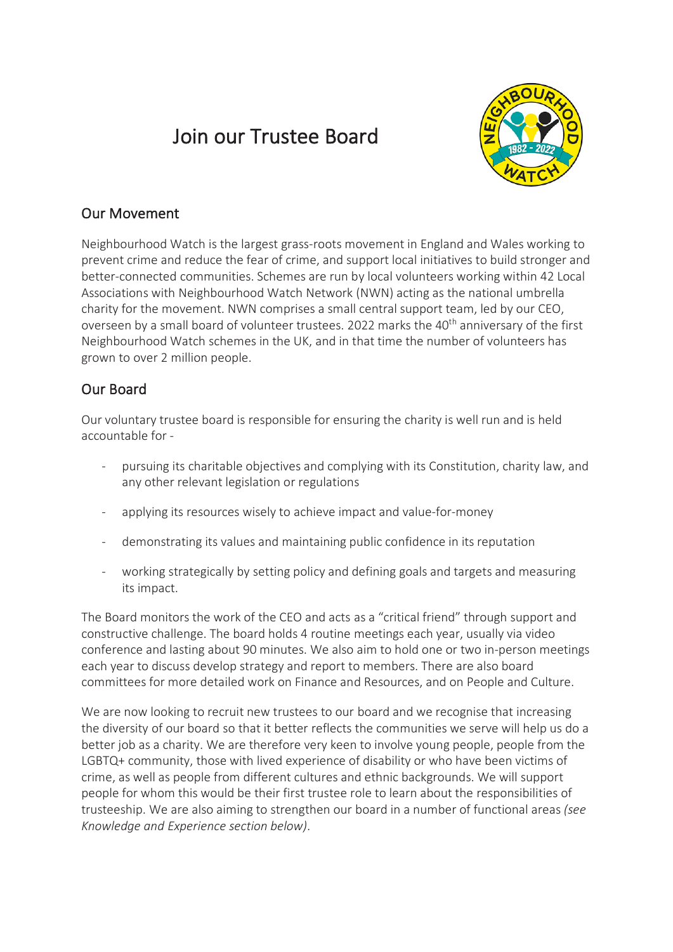# Join our Trustee Board



## Our Movement

Neighbourhood Watch is the largest grass-roots movement in England and Wales working to prevent crime and reduce the fear of crime, and support local initiatives to build stronger and better-connected communities. Schemes are run by local volunteers working within 42 Local Associations with Neighbourhood Watch Network (NWN) acting as the national umbrella charity for the movement. NWN comprises a small central support team, led by our CEO, overseen by a small board of volunteer trustees. 2022 marks the 40<sup>th</sup> anniversary of the first Neighbourhood Watch schemes in the UK, and in that time the number of volunteers has grown to over 2 million people.

## Our Board

Our voluntary trustee board is responsible for ensuring the charity is well run and is held accountable for -

- pursuing its charitable objectives and complying with its Constitution, charity law, and any other relevant legislation or regulations
- applying its resources wisely to achieve impact and value-for-money
- demonstrating its values and maintaining public confidence in its reputation
- working strategically by setting policy and defining goals and targets and measuring its impact.

The Board monitors the work of the CEO and acts as a "critical friend" through support and constructive challenge. The board holds 4 routine meetings each year, usually via video conference and lasting about 90 minutes. We also aim to hold one or two in-person meetings each year to discuss develop strategy and report to members. There are also board committees for more detailed work on Finance and Resources, and on People and Culture.

We are now looking to recruit new trustees to our board and we recognise that increasing the diversity of our board so that it better reflects the communities we serve will help us do a better job as a charity. We are therefore very keen to involve young people, people from the LGBTQ+ community, those with lived experience of disability or who have been victims of crime, as well as people from different cultures and ethnic backgrounds. We will support people for whom this would be their first trustee role to learn about the responsibilities of trusteeship. We are also aiming to strengthen our board in a number of functional areas *(see Knowledge and Experience section below)*.